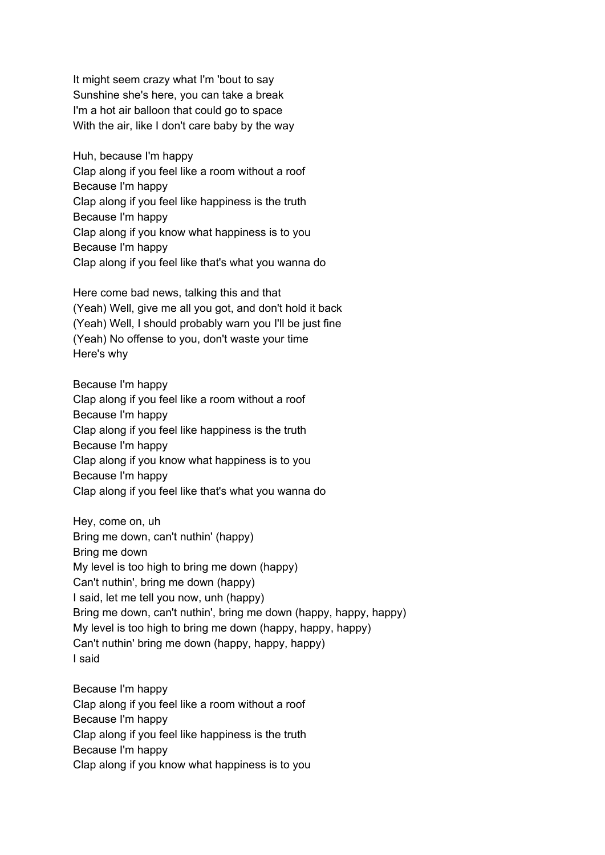It might seem crazy what I'm 'bout to say Sunshine she's here, you can take a break I'm a hot air balloon that could go to space With the air, like I don't care baby by the way

Huh, because I'm happy Clap along if you feel like a room without a roof Because I'm happy Clap along if you feel like happiness is the truth Because I'm happy Clap along if you know what happiness is to you Because I'm happy Clap along if you feel like that's what you wanna do

Here come bad news, talking this and that (Yeah) Well, give me all you got, and don't hold it back (Yeah) Well, I should probably warn you I'll be just fine (Yeah) No offense to you, don't waste your time Here's why

Because I'm happy

Clap along if you feel like a room without a roof Because I'm happy Clap along if you feel like happiness is the truth Because I'm happy Clap along if you know what happiness is to you Because I'm happy Clap along if you feel like that's what you wanna do

Hey, come on, uh Bring me down, can't nuthin' (happy) Bring me down My level is too high to bring me down (happy) Can't nuthin', bring me down (happy) I said, let me tell you now, unh (happy) Bring me down, can't nuthin', bring me down (happy, happy, happy) My level is too high to bring me down (happy, happy, happy) Can't nuthin' bring me down (happy, happy, happy) I said

Because I'm happy Clap along if you feel like a room without a roof Because I'm happy Clap along if you feel like happiness is the truth Because I'm happy Clap along if you know what happiness is to you